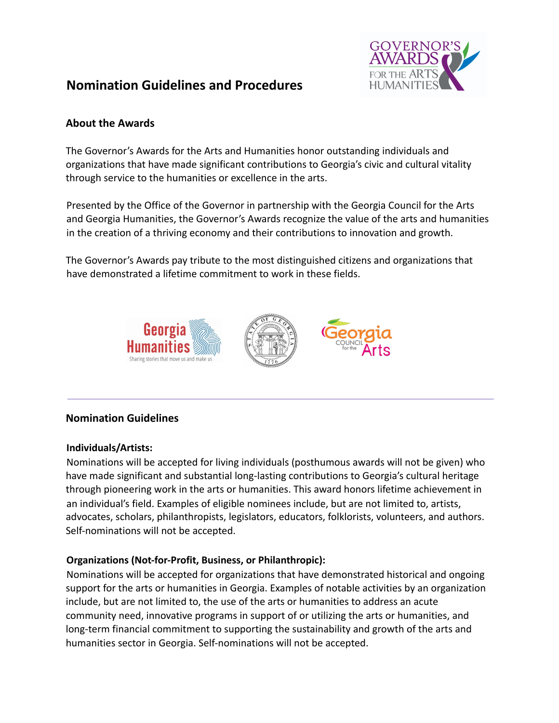

# **Nomination Guidelines and Procedures**

# **About the Awards**

The Governor's Awards for the Arts and Humanities honor outstanding individuals and organizations that have made significant contributions to Georgia's civic and cultural vitality through service to the humanities or excellence in the arts.

Presented by the Office of the Governor in partnership with the Georgia Council for the Arts and Georgia Humanities, the Governor's Awards recognize the value of the arts and humanities in the creation of a thriving economy and their contributions to innovation and growth.

The Governor's Awards pay tribute to the most distinguished citizens and organizations that have demonstrated a lifetime commitment to work in these fields.



# **Nomination Guidelines**

#### **Individuals/Artists:**

Nominations will be accepted for living individuals (posthumous awards will not be given) who have made significant and substantial long-lasting contributions to Georgia's cultural heritage through pioneering work in the arts or humanities. This award honors lifetime achievement in an individual's field. Examples of eligible nominees include, but are not limited to, artists, advocates, scholars, philanthropists, legislators, educators, folklorists, volunteers, and authors. Self-nominations will not be accepted.

# **Organizations (Not-for-Profit, Business, or Philanthropic):**

Nominations will be accepted for organizations that have demonstrated historical and ongoing support for the arts or humanities in Georgia. Examples of notable activities by an organization include, but are not limited to, the use of the arts or humanities to address an acute community need, innovative programs in support of or utilizing the arts or humanities, and long-term financial commitment to supporting the sustainability and growth of the arts and humanities sector in Georgia. Self-nominations will not be accepted.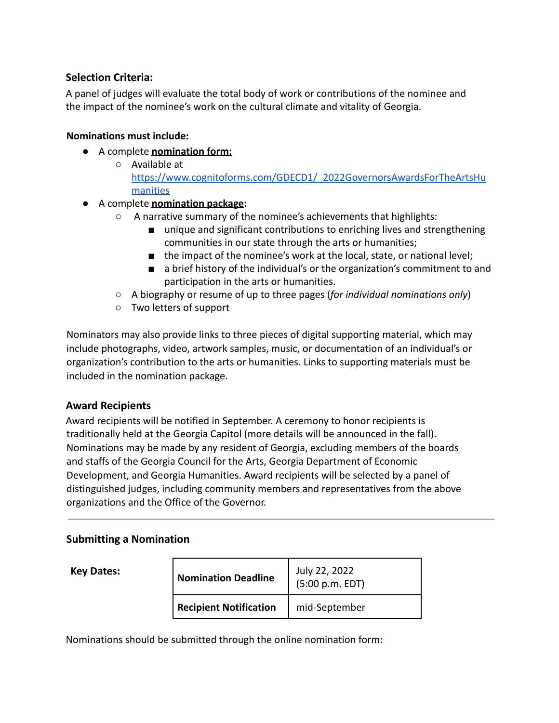# **Selection Criteria:**

A panel of judges will evaluate the total body of work or contributions of the nominee and the impact of the nominee's work on the cultural climate and vitality of Georgia.

## **Nominations must include:**

- A complete **nomination form:**
	- Available at [https://www.cognitoforms.com/GDECD1/\\_2022GovernorsAwardsForTheArtsHu](https://www.cognitoforms.com/GDECD1/_2022GovernorsAwardsForTheArtsHumanities) [manities](https://www.cognitoforms.com/GDECD1/_2022GovernorsAwardsForTheArtsHumanities)

## ● A complete **nomination package:**

- A narrative summary of the nominee's achievements that highlights:
	- unique and significant contributions to enriching lives and strengthening communities in our state through the arts or humanities;
	- the impact of the nominee's work at the local, state, or national level;
	- a brief history of the individual's or the organization's commitment to and participation in the arts or humanities.
- A biography or resume of up to three pages (*for individual nominations only*)
- Two letters of support

Nominators may also provide links to three pieces of digital supporting material, which may include photographs, video, artwork samples, music, or documentation of an individual's or organization's contribution to the arts or humanities. Links to supporting materials must be included in the nomination package.

# **Award Recipients**

Award recipients will be notified in September. A ceremony to honor recipients is traditionally held at the Georgia Capitol (more details will be announced in the fall). Nominations may be made by any resident of Georgia, excluding members of the boards and staffs of the Georgia Council for the Arts, Georgia Department of Economic Development, and Georgia Humanities. Award recipients will be selected by a panel of distinguished judges, including community members and representatives from the above organizations and the Office of the Governor.

# **Submitting a Nomination**

| <b>Key Dates:</b> | <b>Nomination Deadline</b>    | July 22, 2022<br>(5:00 p.m. EDT) |
|-------------------|-------------------------------|----------------------------------|
|                   | <b>Recipient Notification</b> | mid-September                    |

Nominations should be submitted through the online nomination form: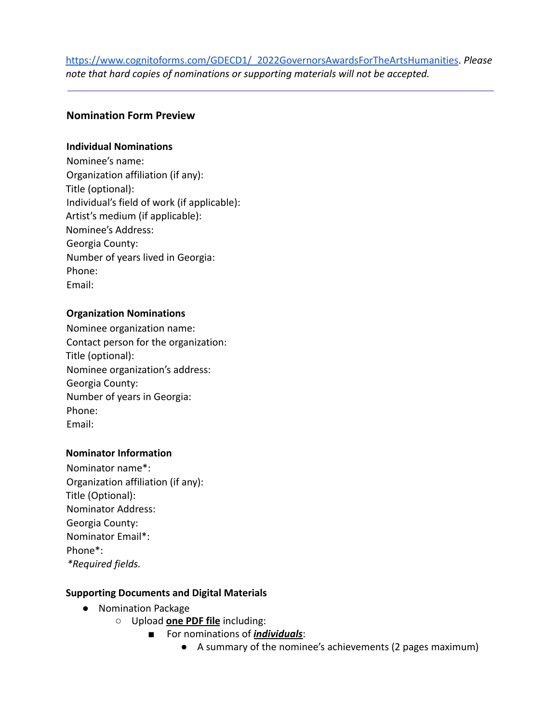# [https://www.cognitoforms.com/GDECD1/\\_2022GovernorsAwardsForTheArtsHumanities](https://www.cognitoforms.com/GDECD1/_2022GovernorsAwardsForTheArtsHumanities). *Please note that hard copies of nominations or supporting materials will not be accepted.*

## **Nomination Form Preview**

#### **Individual Nominations**

Nominee's name: Organization affiliation (if any): Title (optional): Individual's field of work (if applicable): Artist's medium (if applicable): Nominee's Address: Georgia County: Number of years lived in Georgia: Phone: Email:

#### **Organization Nominations**

Nominee organization name: Contact person for the organization: Title (optional): Nominee organization's address: Georgia County: Number of years in Georgia: Phone: Email:

#### **Nominator Information**

Nominator name\*: Organization affiliation (if any): Title (Optional): Nominator Address: Georgia County: Nominator Email\*: Phone\*: *\*Required fields.*

#### **Supporting Documents and Digital Materials**

- Nomination Package
	- Upload **one PDF file** including:
		- For nominations of *individuals*:
			- A summary of the nominee's achievements (2 pages maximum)